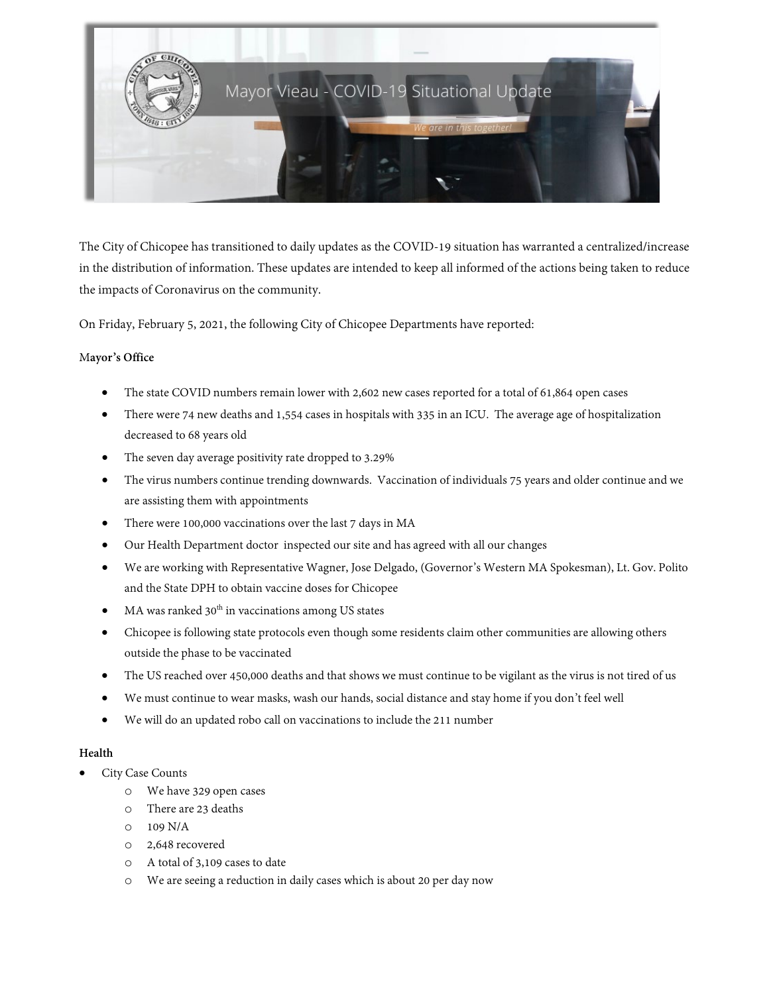

The City of Chicopee has transitioned to daily updates as the COVID-19 situation has warranted a centralized/increase in the distribution of information. These updates are intended to keep all informed of the actions being taken to reduce the impacts of Coronavirus on the community.

On Friday, February 5, 2021, the following City of Chicopee Departments have reported:

### M**ayor's Office**

- The state COVID numbers remain lower with 2,602 new cases reported for a total of 61,864 open cases
- There were 74 new deaths and 1,554 cases in hospitals with 335 in an ICU. The average age of hospitalization decreased to 68 years old
- The seven day average positivity rate dropped to 3.29%
- The virus numbers continue trending downwards. Vaccination of individuals 75 years and older continue and we are assisting them with appointments
- There were 100,000 vaccinations over the last 7 days in MA
- Our Health Department doctor inspected our site and has agreed with all our changes
- We are working with Representative Wagner, Jose Delgado, (Governor's Western MA Spokesman), Lt. Gov. Polito and the State DPH to obtain vaccine doses for Chicopee
- $MA$  was ranked 30<sup>th</sup> in vaccinations among US states
- Chicopee is following state protocols even though some residents claim other communities are allowing others outside the phase to be vaccinated
- The US reached over 450,000 deaths and that shows we must continue to be vigilant as the virus is not tired of us
- We must continue to wear masks, wash our hands, social distance and stay home if you don't feel well
- We will do an updated robo call on vaccinations to include the 211 number

### **Health**

- City Case Counts
	- o We have 329 open cases
	- o There are 23 deaths
	- o 109 N/A
	- o 2,648 recovered
	- o A total of 3,109 cases to date
	- o We are seeing a reduction in daily cases which is about 20 per day now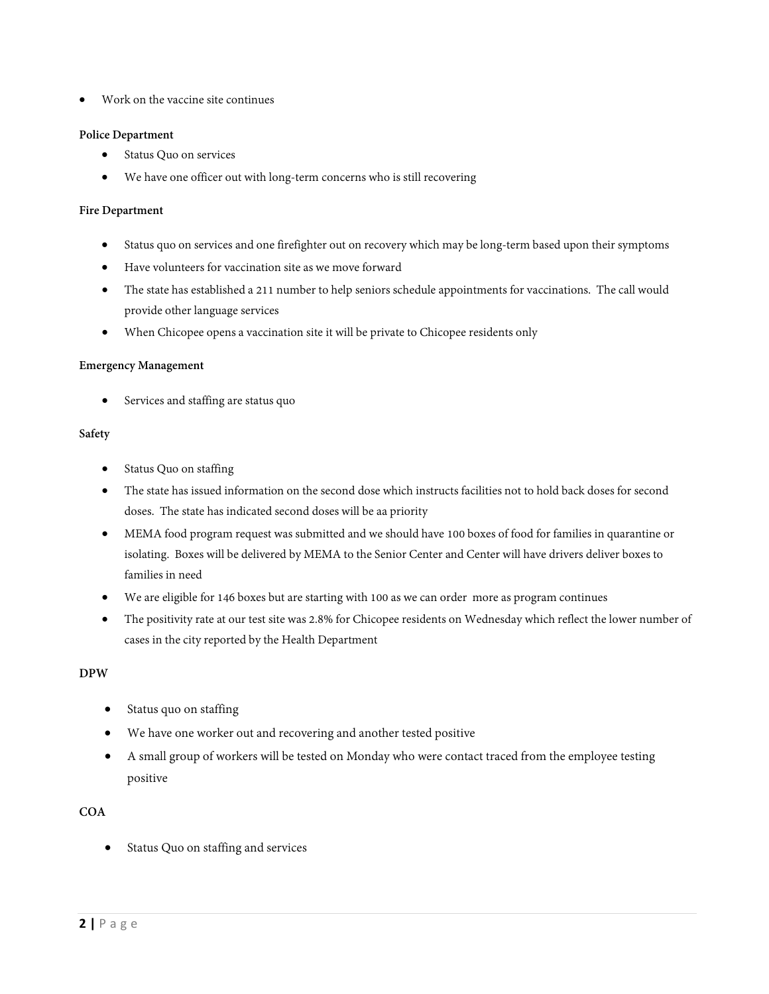• Work on the vaccine site continues

## **Police Department**

- Status Quo on services
- We have one officer out with long-term concerns who is still recovering

### **Fire Department**

- Status quo on services and onefirefighter out on recovery which may be long-term based upon their symptoms
- Have volunteers for vaccination site as we move forward
- The state has established a 211 number to help seniors schedule appointments for vaccinations. The call would provide other language services
- When Chicopee opens a vaccination site it will be private to Chicopee residents only

### **Emergency Management**

Services and staffing are status quo

### **Safety**

- Status Quo on staffing
- The state has issued information on the second dose which instructs facilities not to hold back doses for second doses. The state has indicated second doses will be aa priority
- MEMA food program request was submitted and we should have 100 boxes of food for families in quarantine or isolating. Boxes will be delivered by MEMA to the Senior Center and Center will have drivers deliver boxes to families in need
- We are eligible for 146 boxes but are starting with 100 as we can order more as program continues
- The positivity rate at our test site was 2.8% for Chicopee residents on Wednesday which reflect the lower number of cases in the city reported by the Health Department

# **DPW**

- Status quo on staffing
- We have one worker out and recovering and another tested positive
- A small group of workers will be tested on Monday who were contact traced from the employee testing positive

# **COA**

Status Quo on staffing and services